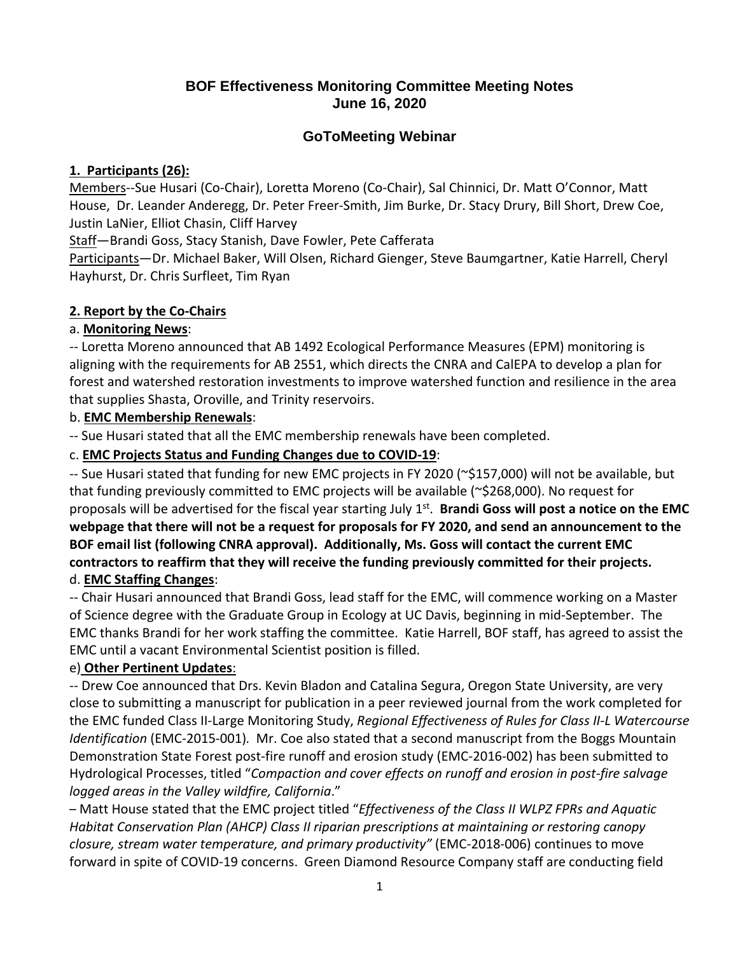## **BOF Effectiveness Monitoring Committee Meeting Notes June 16, 2020**

# **GoToMeeting Webinar**

### **1. Participants (26):**

Members--Sue Husari (Co-Chair), Loretta Moreno (Co-Chair), Sal Chinnici, Dr. Matt O'Connor, Matt House, Dr. Leander Anderegg, Dr. Peter Freer‐Smith, Jim Burke, Dr. Stacy Drury, Bill Short, Drew Coe, Justin LaNier, Elliot Chasin, Cliff Harvey

Staff—Brandi Goss, Stacy Stanish, Dave Fowler, Pete Cafferata

Participants—Dr. Michael Baker, Will Olsen, Richard Gienger, Steve Baumgartner, Katie Harrell, Cheryl Hayhurst, Dr. Chris Surfleet, Tim Ryan

## **2. Report by the Co‐Chairs**

## a. **Monitoring News**:

 ‐‐ Loretta Moreno announced that AB 1492 Ecological Performance Measures (EPM) monitoring is aligning with the requirements for AB 2551, which directs the CNRA and CalEPA to develop a plan for forest and watershed restoration investments to improve watershed function and resilience in the area that supplies Shasta, Oroville, and Trinity reservoirs.

## b. **EMC Membership Renewals**:

‐‐ Sue Husari stated that all the EMC membership renewals have been completed.

## c. **EMC Projects Status and Funding Changes due to COVID‐19**:

 ‐‐ Sue Husari stated that funding for new EMC projects in FY 2020 (~\$157,000) will not be available, but that funding previously committed to EMC projects will be available (~\$268,000). No request for  proposals will be advertised for the fiscal year starting July 1st. **Brandi Goss will post a notice on the EMC** webpage that there will not be a request for proposals for FY 2020, and send an announcement to the BOF email list (following CNRA approval). Additionally, Ms. Goss will contact the current EMC contractors to reaffirm that they will receive the funding previously committed for their projects.  d. **EMC Staffing Changes**:

 ‐‐ Chair Husari announced that Brandi Goss, lead staff for the EMC, will commence working on a Master of Science degree with the Graduate Group in Ecology at UC Davis, beginning in mid‐September. The EMC thanks Brandi for her work staffing the committee. Katie Harrell, BOF staff, has agreed to assist the EMC until a vacant Environmental Scientist position is filled.

# e) **Other Pertinent Updates**:

 ‐‐ Drew Coe announced that Drs. Kevin Bladon and Catalina Segura, Oregon State University, are very close to submitting a manuscript for publication in a peer reviewed journal from the work completed for  the EMC funded Class II‐Large Monitoring Study, *Regional Effectiveness of Rules for Class II‐L Watercourse Identification* (EMC‐2015‐001)*.* Mr. Coe also stated that a second manuscript from the Boggs Mountain Demonstration State Forest post‐fire runoff and erosion study (EMC‐2016‐002) has been submitted to  Hydrological Processes, titled "*Compaction and cover effects on runoff and erosion in post‐fire salvage logged areas in the Valley wildfire, California*."

  – Matt House stated that the EMC project titled "*Effectiveness of the Class II WLPZ FPRs and Aquatic* Habitat Conservation Plan (AHCP) Class II riparian prescriptions at maintaining or restoring canopy  *closure, stream water temperature, and primary productivity"* (EMC‐2018‐006) continues to move forward in spite of COVID‐19 concerns. Green Diamond Resource Company staff are conducting field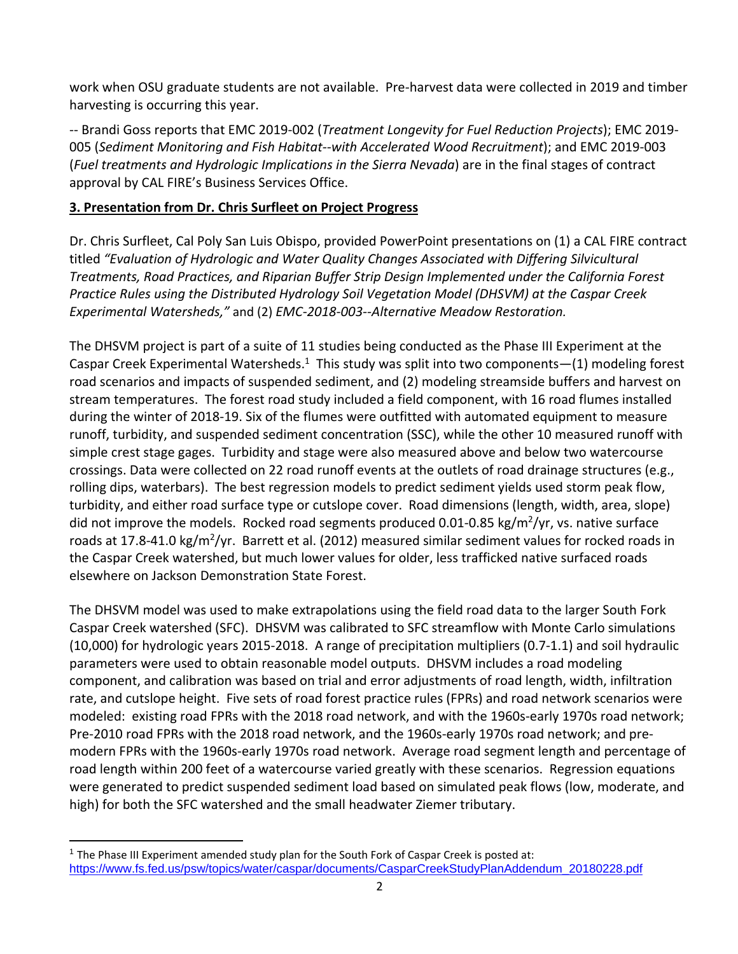work when OSU graduate students are not available. Pre‐harvest data were collected in 2019 and timber harvesting is occurring this year.

  ‐‐ Brandi Goss reports that EMC 2019‐002 (*Treatment Longevity for Fuel Reduction Projects*); EMC 2019‐  005 (*Sediment Monitoring and Fish Habitat‐‐with Accelerated Wood Recruitment*); and EMC 2019‐003  (*Fuel treatments and Hydrologic Implications in the Sierra Nevada*) are in the final stages of contract approval by CAL FIRE's Business Services Office.

### **3. Presentation from Dr. Chris Surfleet on Project Progress**

 Dr. Chris Surfleet, Cal Poly San Luis Obispo, provided PowerPoint presentations on (1) a CAL FIRE contract  titled *"Evaluation of Hydrologic and Water Quality Changes Associated with Differing Silvicultural* Treatments, Road Practices, and Riparian Buffer Strip Design Implemented under the California Forest Practice Rules using the Distributed Hydrology Soil Vegetation Model (DHSVM) at the Caspar Creek  *Experimental Watersheds,"* and (2) *EMC‐2018‐003‐‐Alternative Meadow Restoration.*

 The DHSVM project is part of a suite of 11 studies being conducted as the Phase III Experiment at the Caspar Creek Experimental Watersheds.<sup>1</sup> This study was split into two components - (1) modeling forest road scenarios and impacts of suspended sediment, and (2) modeling streamside buffers and harvest on stream temperatures. The forest road study included a field component, with 16 road flumes installed during the winter of 2018‐19. Six of the flumes were outfitted with automated equipment to measure runoff, turbidity, and suspended sediment concentration (SSC), while the other 10 measured runoff with simple crest stage gages. Turbidity and stage were also measured above and below two watercourse crossings. Data were collected on 22 road runoff events at the outlets of road drainage structures (e.g., rolling dips, waterbars). The best regression models to predict sediment yields used storm peak flow, turbidity, and either road surface type or cutslope cover. Road dimensions (length, width, area, slope) did not improve the models. Rocked road segments produced 0.01-0.85 kg/m<sup>2</sup>/yr, vs. native surface roads at 17.8-41.0 kg/m<sup>2</sup>/yr. Barrett et al. (2012) measured similar sediment values for rocked roads in the Caspar Creek watershed, but much lower values for older, less trafficked native surfaced roads elsewhere on Jackson Demonstration State Forest.

 The DHSVM model was used to make extrapolations using the field road data to the larger South Fork Caspar Creek watershed (SFC). DHSVM was calibrated to SFC streamflow with Monte Carlo simulations (10,000) for hydrologic years 2015‐2018. A range of precipitation multipliers (0.7‐1.1) and soil hydraulic parameters were used to obtain reasonable model outputs. DHSVM includes a road modeling component, and calibration was based on trial and error adjustments of road length, width, infiltration rate, and cutslope height. Five sets of road forest practice rules (FPRs) and road network scenarios were modeled: existing road FPRs with the 2018 road network, and with the 1960s-early 1970s road network; Pre‐2010 road FPRs with the 2018 road network, and the 1960s‐early 1970s road network; and pre‐ modern FPRs with the 1960s‐early 1970s road network. Average road segment length and percentage of road length within 200 feet of a watercourse varied greatly with these scenarios. Regression equations were generated to predict suspended sediment load based on simulated peak flows (low, moderate, and high) for both the SFC watershed and the small headwater Ziemer tributary.

<sup>&</sup>lt;sup>1</sup> The Phase III Experiment amended study plan for the South Fork of Caspar Creek is posted at: https://www.fs.fed.us/psw/topics/water/caspar/documents/CasparCreekStudyPlanAddendum\_20180228.pdf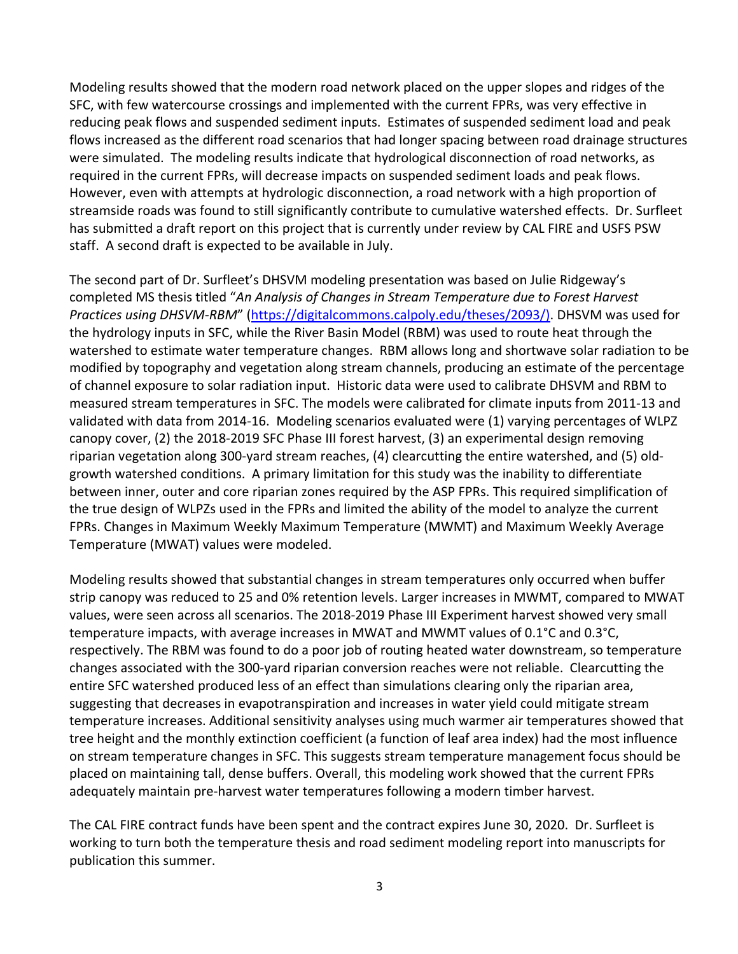Modeling results showed that the modern road network placed on the upper slopes and ridges of the SFC, with few watercourse crossings and implemented with the current FPRs, was very effective in reducing peak flows and suspended sediment inputs. Estimates of suspended sediment load and peak flows increased as the different road scenarios that had longer spacing between road drainage structures were simulated. The modeling results indicate that hydrological disconnection of road networks, as required in the current FPRs, will decrease impacts on suspended sediment loads and peak flows. However, even with attempts at hydrologic disconnection, a road network with a high proportion of streamside roads was found to still significantly contribute to cumulative watershed effects. Dr. Surfleet has submitted a draft report on this project that is currently under review by CAL FIRE and USFS PSW staff. A second draft is expected to be available in July.

 The second part of Dr. Surfleet's DHSVM modeling presentation was based on Julie Ridgeway's  completed MS thesis titled "*An Analysis of Changes in Stream Temperature due to Forest Harvest Practices using DHSVM‐RBM*" (https://digitalcommons.calpoly.edu/theses/2093/). DHSVM was used for the hydrology inputs in SFC, while the River Basin Model (RBM) was used to route heat through the watershed to estimate water temperature changes. RBM allows long and shortwave solar radiation to be modified by topography and vegetation along stream channels, producing an estimate of the percentage of channel exposure to solar radiation input. Historic data were used to calibrate DHSVM and RBM to measured stream temperatures in SFC. The models were calibrated for climate inputs from 2011‐13 and validated with data from 2014‐16. Modeling scenarios evaluated were (1) varying percentages of WLPZ canopy cover, (2) the 2018‐2019 SFC Phase III forest harvest, (3) an experimental design removing riparian vegetation along 300‐yard stream reaches, (4) clearcutting the entire watershed, and (5) old‐ growth watershed conditions. A primary limitation for this study was the inability to differentiate between inner, outer and core riparian zones required by the ASP FPRs. This required simplification of the true design of WLPZs used in the FPRs and limited the ability of the model to analyze the current FPRs. Changes in Maximum Weekly Maximum Temperature (MWMT) and Maximum Weekly Average Temperature (MWAT) values were modeled.

 Modeling results showed that substantial changes in stream temperatures only occurred when buffer strip canopy was reduced to 25 and 0% retention levels. Larger increases in MWMT, compared to MWAT values, were seen across all scenarios. The 2018‐2019 Phase III Experiment harvest showed very small temperature impacts, with average increases in MWAT and MWMT values of 0.1°C and 0.3°C, respectively. The RBM was found to do a poor job of routing heated water downstream, so temperature changes associated with the 300‐yard riparian conversion reaches were not reliable. Clearcutting the entire SFC watershed produced less of an effect than simulations clearing only the riparian area, suggesting that decreases in evapotranspiration and increases in water yield could mitigate stream temperature increases. Additional sensitivity analyses using much warmer air temperatures showed that tree height and the monthly extinction coefficient (a function of leaf area index) had the most influence on stream temperature changes in SFC. This suggests stream temperature management focus should be placed on maintaining tall, dense buffers. Overall, this modeling work showed that the current FPRs adequately maintain pre‐harvest water temperatures following a modern timber harvest.

 The CAL FIRE contract funds have been spent and the contract expires June 30, 2020. Dr. Surfleet is working to turn both the temperature thesis and road sediment modeling report into manuscripts for publication this summer.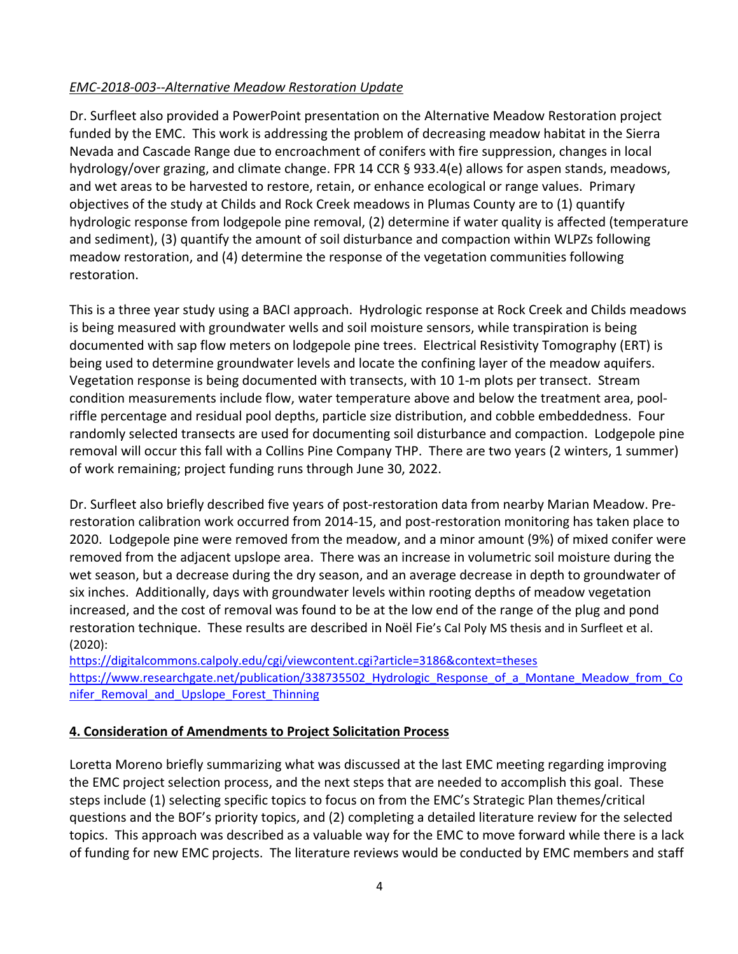#### *EMC‐2018‐003‐‐Alternative Meadow Restoration Update*

 Dr. Surfleet also provided a PowerPoint presentation on the Alternative Meadow Restoration project funded by the EMC. This work is addressing the problem of decreasing meadow habitat in the Sierra Nevada and Cascade Range due to encroachment of conifers with fire suppression, changes in local hydrology/over grazing, and climate change. FPR 14 CCR § 933.4(e) allows for aspen stands, meadows, and wet areas to be harvested to restore, retain, or enhance ecological or range values. Primary objectives of the study at Childs and Rock Creek meadows in Plumas County are to (1) quantify hydrologic response from lodgepole pine removal, (2) determine if water quality is affected (temperature and sediment), (3) quantify the amount of soil disturbance and compaction within WLPZs following meadow restoration, and (4) determine the response of the vegetation communities following restoration.

 This is a three year study using a BACI approach. Hydrologic response at Rock Creek and Childs meadows is being measured with groundwater wells and soil moisture sensors, while transpiration is being documented with sap flow meters on lodgepole pine trees. Electrical Resistivity Tomography (ERT) is being used to determine groundwater levels and locate the confining layer of the meadow aquifers. Vegetation response is being documented with transects, with 10 1‐m plots per transect. Stream condition measurements include flow, water temperature above and below the treatment area, pool‐ riffle percentage and residual pool depths, particle size distribution, and cobble embeddedness. Four randomly selected transects are used for documenting soil disturbance and compaction. Lodgepole pine removal will occur this fall with a Collins Pine Company THP. There are two years (2 winters, 1 summer) of work remaining; project funding runs through June 30, 2022.

 Dr. Surfleet also briefly described five years of post‐restoration data from nearby Marian Meadow. Pre‐ restoration calibration work occurred from 2014‐15, and post‐restoration monitoring has taken place to 2020. Lodgepole pine were removed from the meadow, and a minor amount (9%) of mixed conifer were removed from the adjacent upslope area. There was an increase in volumetric soil moisture during the wet season, but a decrease during the dry season, and an average decrease in depth to groundwater of six inches. Additionally, days with groundwater levels within rooting depths of meadow vegetation increased, and the cost of removal was found to be at the low end of the range of the plug and pond restoration technique. These results are described in Noël Fie's Cal Poly MS thesis and in Surfleet et al. (2020):

https://digitalcommons.calpoly.edu/cgi/viewcontent.cgi?article=3186&context=theses https://www.researchgate.net/publication/338735502 Hydrologic Response of a Montane Meadow from Co nifer\_Removal\_and\_Upslope\_Forest\_Thinning

#### **4. Consideration of Amendments to Project Solicitation Process**

 Loretta Moreno briefly summarizing what was discussed at the last EMC meeting regarding improving the EMC project selection process, and the next steps that are needed to accomplish this goal. These steps include (1) selecting specific topics to focus on from the EMC's Strategic Plan themes/critical questions and the BOF's priority topics, and (2) completing a detailed literature review for the selected topics. This approach was described as a valuable way for the EMC to move forward while there is a lack of funding for new EMC projects. The literature reviews would be conducted by EMC members and staff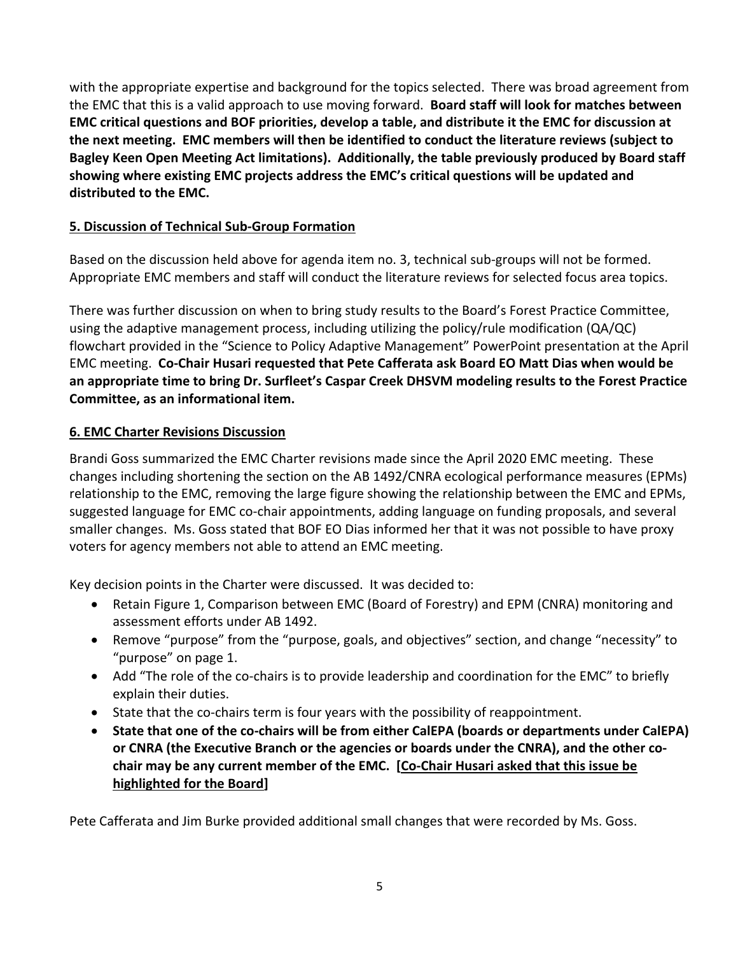with the appropriate expertise and background for the topics selected. There was broad agreement from  the EMC that this is a valid approach to use moving forward. **Board staff will look for matches between** EMC critical questions and BOF priorities, develop a table, and distribute it the EMC for discussion at the next meeting. EMC members will then be identified to conduct the literature reviews (subject to Bagley Keen Open Meeting Act limitations). Additionally, the table previously produced by Board staff showing where existing EMC projects address the EMC's critical questions will be updated and  **distributed to the EMC.**

## **5. Discussion of Technical Sub‐Group Formation**

 Based on the discussion held above for agenda item no. 3, technical sub‐groups will not be formed. Appropriate EMC members and staff will conduct the literature reviews for selected focus area topics.

 There was further discussion on when to bring study results to the Board's Forest Practice Committee, using the adaptive management process, including utilizing the policy/rule modification (QA/QC) flowchart provided in the "Science to Policy Adaptive Management" PowerPoint presentation at the April EMC meeting. Co-Chair Husari requested that Pete Cafferata ask Board EO Matt Dias when would be an appropriate time to bring Dr. Surfleet's Caspar Creek DHSVM modeling results to the Forest Practice  **Committee, as an informational item.**

## **6. EMC Charter Revisions Discussion**

 Brandi Goss summarized the EMC Charter revisions made since the April 2020 EMC meeting. These changes including shortening the section on the AB 1492/CNRA ecological performance measures (EPMs) relationship to the EMC, removing the large figure showing the relationship between the EMC and EPMs, suggested language for EMC co‐chair appointments, adding language on funding proposals, and several smaller changes. Ms. Goss stated that BOF EO Dias informed her that it was not possible to have proxy voters for agency members not able to attend an EMC meeting.

Key decision points in the Charter were discussed. It was decided to:

- Retain Figure 1, Comparison between EMC (Board of Forestry) and EPM (CNRA) monitoring and assessment efforts under AB 1492.
- Remove "purpose" from the "purpose, goals, and objectives" section, and change "necessity" to "purpose" on page 1.
- Add "The role of the co-chairs is to provide leadership and coordination for the EMC" to briefly explain their duties.
- State that the co-chairs term is four years with the possibility of reappointment.
- State that one of the co-chairs will be from either CalEPA (boards or departments under CalEPA) or CNRA (the Executive Branch or the agencies or boards under the CNRA), and the other cochair may be any current member of the EMC. [Co-Chair Husari asked that this issue be  **highlighted for the Board]**

Pete Cafferata and Jim Burke provided additional small changes that were recorded by Ms. Goss.